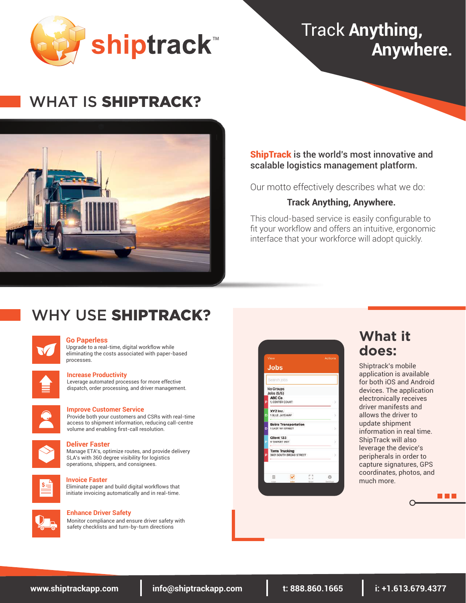

# WHAT IS SHIPTRACK**?**



### **ShipTrack** is the world's most innovative and scalable logistics management platform.

Our motto effectively describes what we do:

### **Track Anything, Anywhere.**

This cloud-based service is easily configurable to fit your workflow and offers an intuitive, ergonomic interface that your workforce will adopt quickly.

# WHY USE SHIPTRACK**?**



#### **Go Paperless**

Upgrade to a real-time, digital workflow while eliminating the costs associated with paper-based processes.

| <b>Contract Contract Contract Contract Contract Contract Contract Contract Contract Contract Contract Contract C</b> |  |
|----------------------------------------------------------------------------------------------------------------------|--|
| _________                                                                                                            |  |
| <b>Contract Contract Contract Contract Contract Contract Contract Contract Contract Contract Contract Contract C</b> |  |

#### **Increase Productivity**

Leverage automated processes for more effective dispatch, order processing, and driver management.



#### **Improve Customer Service**

Provide both your customers and CSRs with real-time access to shipment information, reducing call-centre volume and enabling first-call resolution.



#### **Deliver Faster**

Manage ETA's, optimize routes, and provide delivery SLA's with 360 degree visibility for logistics operations, shippers, and consignees.



#### **Invoice Faster**

Eliminate paper and build digital workflows that initiate invoicing automatically and in real-time.



#### **Enhance Driver Safety**

Monitor compliance and ensure driver safety with safety checklists and turn-by-turn directions

|   | View                                             |                     | Actions          |
|---|--------------------------------------------------|---------------------|------------------|
|   | <b>Jobs</b>                                      |                     |                  |
|   | Search Jobs                                      |                     |                  |
|   | No Groups<br>Jobs (5/5)                          |                     |                  |
| p | ABC Co<br>1, CENTER COURT                        |                     | - 50             |
| Ď | XYZ Inc.<br>1 BLUE JAYS WAY                      |                     |                  |
| D | <b>Bob's Transportation</b><br>1 EAST 161 STREET |                     | - 54             |
| Þ | Client 123<br>4 YAWKEY WAY                       |                     |                  |
| Þ | <b>Toms Trucking</b><br>3601 SOUTH BROAD STREET  |                     | $\geq$           |
|   | 冊                                                | $1 - 11$            | o                |
|   | 1.4131                                           | G af<br><b>HART</b> | <b>Bailtings</b> |

## **What it does:**

Shiptrack's mobile application is available for both iOS and Android devices. The application electronically receives driver manifests and allows the driver to update shipment information in real time. ShipTrack will also leverage the device's peripherals in order to capture signatures, GPS coordinates, photos, and much more.

a da k